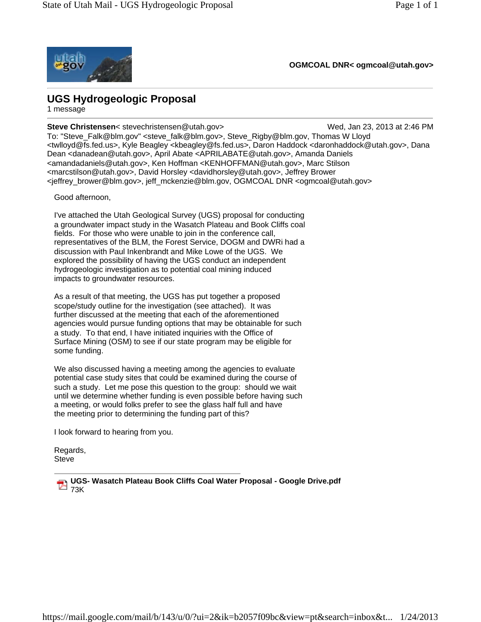

**OGMCOAL DNR< ogmcoal@utah.gov>**

## **UGS Hydrogeologic Proposal**

1 message

**Steve Christensen**< stevechristensen@utah.gov> Wed, Jan 23, 2013 at 2:46 PM To: "Steve\_Falk@blm.gov" <steve\_falk@blm.gov>, Steve\_Rigby@blm.gov, Thomas W Lloyd <twlloyd@fs.fed.us>, Kyle Beagley <kbeagley@fs.fed.us>, Daron Haddock <daronhaddock@utah.gov>, Dana Dean <danadean@utah.gov>, April Abate <APRILABATE@utah.gov>, Amanda Daniels <amandadaniels@utah.gov>, Ken Hoffman <KENHOFFMAN@utah.gov>, Marc Stilson <marcstilson@utah.gov>, David Horsley <davidhorsley@utah.gov>, Jeffrey Brower <jeffrey\_brower@blm.gov>, jeff\_mckenzie@blm.gov, OGMCOAL DNR <ogmcoal@utah.gov>

Good afternoon,

I've attached the Utah Geological Survey (UGS) proposal for conducting a groundwater impact study in the Wasatch Plateau and Book Cliffs coal fields. For those who were unable to join in the conference call, representatives of the BLM, the Forest Service, DOGM and DWRi had a discussion with Paul Inkenbrandt and Mike Lowe of the UGS. We explored the possibility of having the UGS conduct an independent hydrogeologic investigation as to potential coal mining induced impacts to groundwater resources.

As a result of that meeting, the UGS has put together a proposed scope/study outline for the investigation (see attached). It was further discussed at the meeting that each of the aforementioned agencies would pursue funding options that may be obtainable for such a study. To that end, I have initiated inquiries with the Office of Surface Mining (OSM) to see if our state program may be eligible for some funding.

We also discussed having a meeting among the agencies to evaluate potential case study sites that could be examined during the course of such a study. Let me pose this question to the group: should we wait until we determine whether funding is even possible before having such a meeting, or would folks prefer to see the glass half full and have the meeting prior to determining the funding part of this?

I look forward to hearing from you.

Regards, **Steve** 

**UGS- Wasatch Plateau Book Cliffs Coal Water Proposal - Google Drive.pdf**  $\frac{1}{2}$ <sub>73K</sub>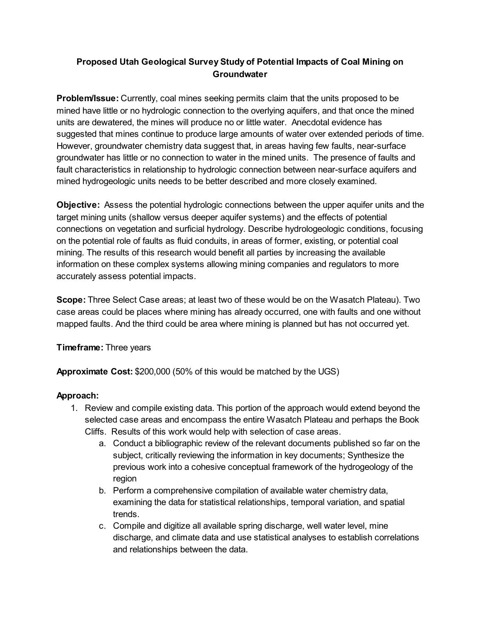## Proposed Utah Geological Survey Study of Potential Impacts of Coal Mining on **Groundwater**

**Problem/Issue:** Currently, coal mines seeking permits claim that the units proposed to be mined have little or no hydrologic connection to the overlying aquifers, and that once the mined units are dewatered, the mines will produce no or little water. Anecdotal evidence has suggested that mines continue to produce large amounts of water over extended periods of time. However, groundwater chemistry data suggest that, in areas having few faults, near-surface groundwater has little or no connection to water in the mined units. The presence of faults and fault characteristics in relationship to hydrologic connection between near-surface aquifers and mined hydrogeologic units needs to be better described and more closely examined.

Objective: Assess the potential hydrologic connections between the upper aquifer units and the target mining units (shallow versus deeper aquifer systems) and the effects of potential connections on vegetation and surficial hydrology. Describe hydrologeologic conditions, focusing on the potential role of faults as fluid conduits, in areas of former, existing, or potential coal mining. The results of this research would benefit all parties by increasing the available information on these complex systems allowing mining companies and regulators to more accurately assess potential impacts.

Scope: Three Select Case areas; at least two of these would be on the Wasatch Plateau). Two case areas could be places where mining has already occurred, one with faults and one without mapped faults. And the third could be area where mining is planned but has not occurred yet.

Timeframe: Three years

Approximate Cost: \$200,000 (50% of this would be matched by the UGS)

## Approach:

- 1. Review and compile existing data. This portion of the approach would extend beyond the selected case areas and encompass the entire Wasatch Plateau and perhaps the Book
	- Cliffs. Results of this work would help with selection of case areas.
		- a. Conduct a bibliographic review of the relevant documents published so far on the subject, critically reviewing the information in key documents; Synthesize the previous work into a cohesive conceptual framework of the hydrogeology of the region
		- b. Perform a comprehensive compilation of available water chemistry data, examining the data for statistical relationships, temporal variation, and spatial trends.
		- c. Compile and digitize all available spring discharge, well water level, mine discharge, and climate data and use statistical analyses to establish correlations and relationships between the data.